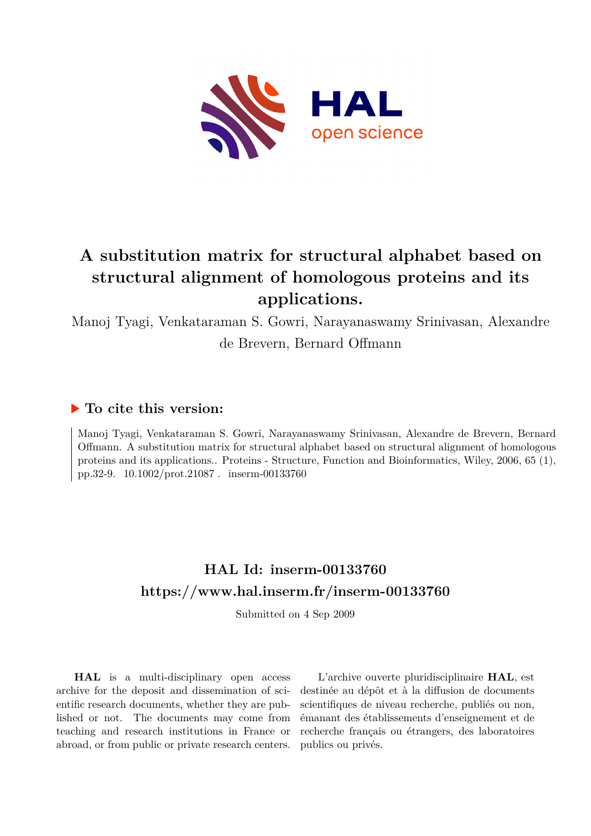

## **A substitution matrix for structural alphabet based on structural alignment of homologous proteins and its applications.**

Manoj Tyagi, Venkataraman S. Gowri, Narayanaswamy Srinivasan, Alexandre de Brevern, Bernard Offmann

## **To cite this version:**

Manoj Tyagi, Venkataraman S. Gowri, Narayanaswamy Srinivasan, Alexandre de Brevern, Bernard Offmann. A substitution matrix for structural alphabet based on structural alignment of homologous proteins and its applications.. Proteins - Structure, Function and Bioinformatics, Wiley, 2006, 65 (1), pp.32-9.  $10.1002/prot.21087$ . inserm-00133760

## **HAL Id: inserm-00133760 <https://www.hal.inserm.fr/inserm-00133760>**

Submitted on 4 Sep 2009

**HAL** is a multi-disciplinary open access archive for the deposit and dissemination of scientific research documents, whether they are published or not. The documents may come from teaching and research institutions in France or abroad, or from public or private research centers.

L'archive ouverte pluridisciplinaire **HAL**, est destinée au dépôt et à la diffusion de documents scientifiques de niveau recherche, publiés ou non, émanant des établissements d'enseignement et de recherche français ou étrangers, des laboratoires publics ou privés.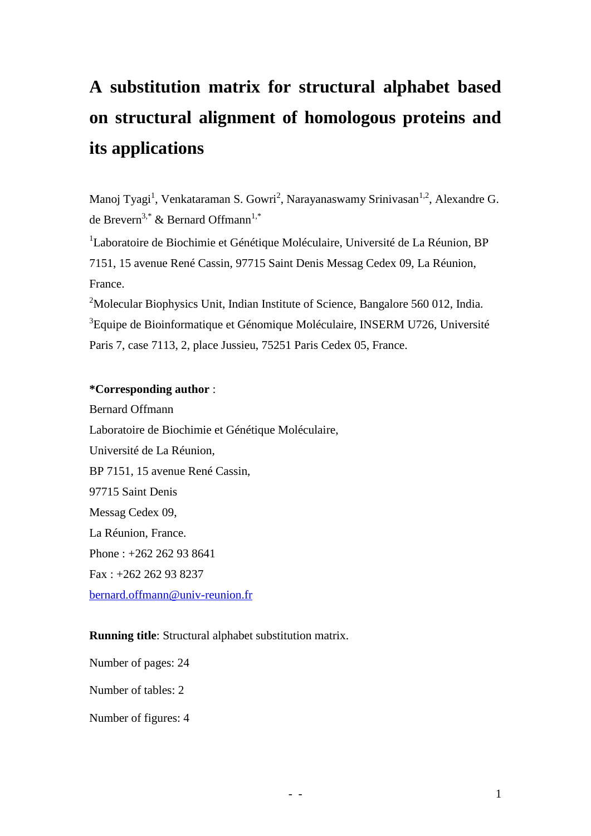# **A substitution matrix for structural alphabet based on structural alignment of homologous proteins and its applications**

Manoj Tyagi<sup>1</sup>, Venkataraman S. Gowri<sup>2</sup>, Narayanaswamy Srinivasan<sup>1,2</sup>, Alexandre G. de Brevern<sup>3,\*</sup> & Bernard Offmann<sup>1,\*</sup>

<sup>1</sup>Laboratoire de Biochimie et Génétique Moléculaire, Université de La Réunion, BP 7151, 15 avenue René Cassin, 97715 Saint Denis Messag Cedex 09, La Réunion, France.

<sup>2</sup>Molecular Biophysics Unit, Indian Institute of Science, Bangalore 560 012, India. <sup>3</sup>Equipe de Bioinformatique et Génomique Moléculaire, INSERM U726, Université Paris 7, case 7113, 2, place Jussieu, 75251 Paris Cedex 05, France.

#### **\*Corresponding author** :

Bernard Offmann Laboratoire de Biochimie et Génétique Moléculaire, Université de La Réunion, BP 7151, 15 avenue René Cassin, 97715 Saint Denis Messag Cedex 09, La Réunion, France. Phone : +262 262 93 8641 Fax : +262 262 93 8237 [bernard.offmann@univ-reunion.fr](mailto:bernard.offmann@univ-reunion.fr)

#### **Running title**: Structural alphabet substitution matrix.

Number of pages: 24

Number of tables: 2

Number of figures: 4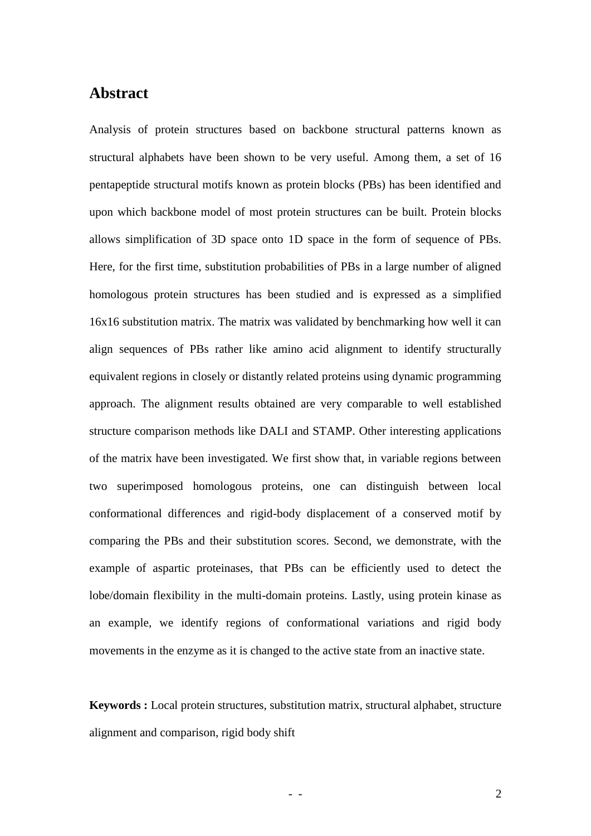### **Abstract**

Analysis of protein structures based on backbone structural patterns known as structural alphabets have been shown to be very useful. Among them, a set of 16 pentapeptide structural motifs known as protein blocks (PBs) has been identified and upon which backbone model of most protein structures can be built. Protein blocks allows simplification of 3D space onto 1D space in the form of sequence of PBs. Here, for the first time, substitution probabilities of PBs in a large number of aligned homologous protein structures has been studied and is expressed as a simplified 16x16 substitution matrix. The matrix was validated by benchmarking how well it can align sequences of PBs rather like amino acid alignment to identify structurally equivalent regions in closely or distantly related proteins using dynamic programming approach. The alignment results obtained are very comparable to well established structure comparison methods like DALI and STAMP. Other interesting applications of the matrix have been investigated. We first show that, in variable regions between two superimposed homologous proteins, one can distinguish between local conformational differences and rigid-body displacement of a conserved motif by comparing the PBs and their substitution scores. Second, we demonstrate, with the example of aspartic proteinases, that PBs can be efficiently used to detect the lobe/domain flexibility in the multi-domain proteins. Lastly, using protein kinase as an example, we identify regions of conformational variations and rigid body movements in the enzyme as it is changed to the active state from an inactive state.

**Keywords :** Local protein structures, substitution matrix, structural alphabet, structure alignment and comparison, rigid body shift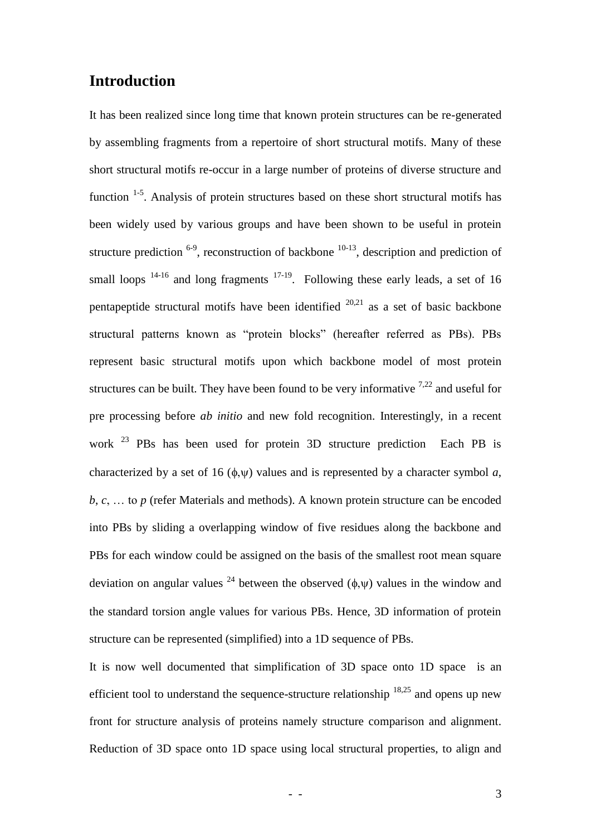## **Introduction**

It has been realized since long time that known protein structures can be re-generated by assembling fragments from a repertoire of short structural motifs. Many of these short structural motifs re-occur in a large number of proteins of diverse structure and function  $1-5$ . Analysis of protein structures based on these short structural motifs has been widely used by various groups and have been shown to be useful in protein structure prediction  $6-9$ , reconstruction of backbone  $10-13$ , description and prediction of small loops  $14-16$  and long fragments  $17-19$ . Following these early leads, a set of 16 pentapeptide structural motifs have been identified  $20,21$  as a set of basic backbone structural patterns known as "protein blocks" (hereafter referred as PBs). PBs represent basic structural motifs upon which backbone model of most protein structures can be built. They have been found to be very informative  $7.22$  and useful for pre processing before *ab initio* and new fold recognition. Interestingly, in a recent work  $^{23}$  PBs has been used for protein 3D structure prediction Each PB is characterized by a set of 16  $(\phi, \psi)$  values and is represented by a character symbol *a*, *b*, *c*, … to *p* (refer Materials and methods). A known protein structure can be encoded into PBs by sliding a overlapping window of five residues along the backbone and PBs for each window could be assigned on the basis of the smallest root mean square deviation on angular values <sup>24</sup> between the observed ( $\phi$ , $\psi$ ) values in the window and the standard torsion angle values for various PBs. Hence, 3D information of protein structure can be represented (simplified) into a 1D sequence of PBs.

It is now well documented that simplification of 3D space onto 1D space is an efficient tool to understand the sequence-structure relationship  $18,25$  and opens up new front for structure analysis of proteins namely structure comparison and alignment. Reduction of 3D space onto 1D space using local structural properties, to align and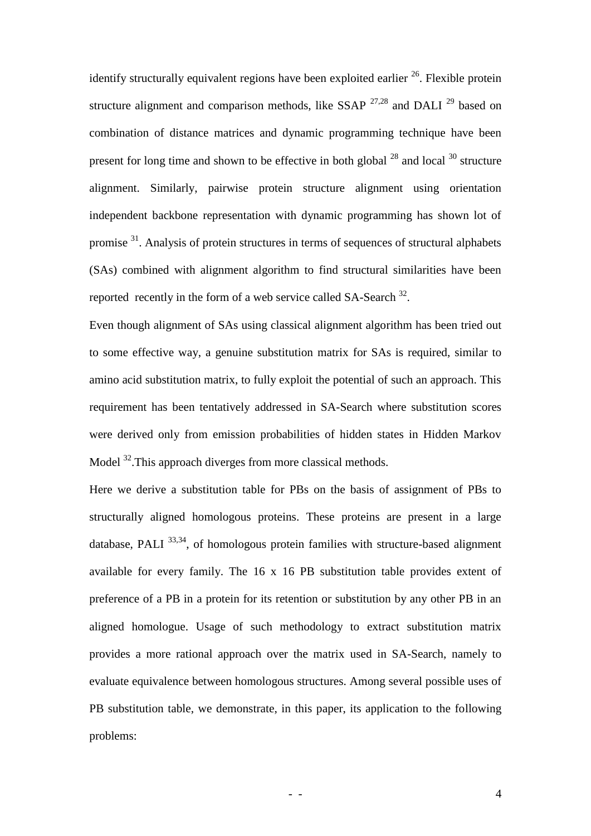identify structurally equivalent regions have been exploited earlier  $^{26}$ . Flexible protein structure alignment and comparison methods, like  $SSAP$   $^{27,28}$  and DALI  $^{29}$  based on combination of distance matrices and dynamic programming technique have been present for long time and shown to be effective in both global  $^{28}$  and local  $^{30}$  structure alignment. Similarly, pairwise protein structure alignment using orientation independent backbone representation with dynamic programming has shown lot of promise <sup>31</sup>. Analysis of protein structures in terms of sequences of structural alphabets (SAs) combined with alignment algorithm to find structural similarities have been reported recently in the form of a web service called SA-Search  $32$ .

Even though alignment of SAs using classical alignment algorithm has been tried out to some effective way, a genuine substitution matrix for SAs is required, similar to amino acid substitution matrix, to fully exploit the potential of such an approach. This requirement has been tentatively addressed in SA-Search where substitution scores were derived only from emission probabilities of hidden states in Hidden Markov Model <sup>32</sup>. This approach diverges from more classical methods.

Here we derive a substitution table for PBs on the basis of assignment of PBs to structurally aligned homologous proteins. These proteins are present in a large database, PALI 33,34, of homologous protein families with structure-based alignment available for every family. The 16 x 16 PB substitution table provides extent of preference of a PB in a protein for its retention or substitution by any other PB in an aligned homologue. Usage of such methodology to extract substitution matrix provides a more rational approach over the matrix used in SA-Search, namely to evaluate equivalence between homologous structures. Among several possible uses of PB substitution table, we demonstrate, in this paper, its application to the following problems: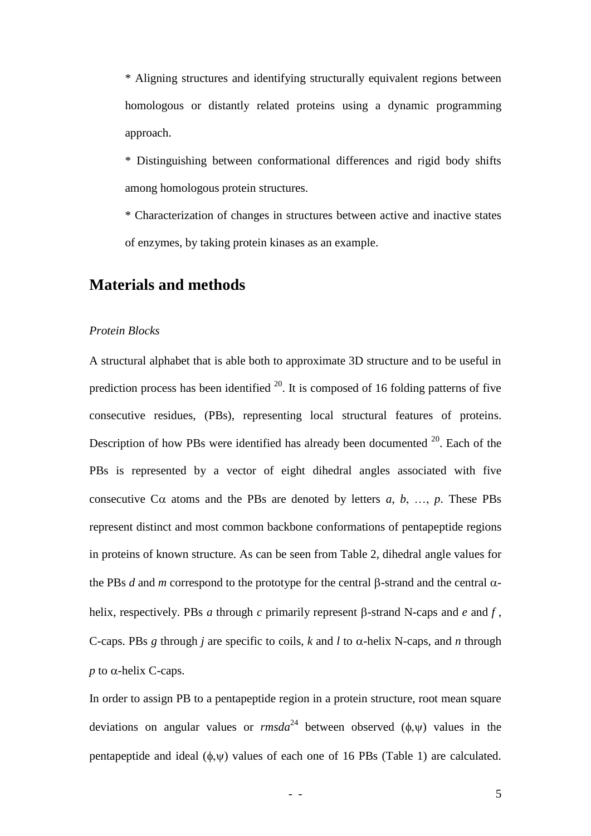\* Aligning structures and identifying structurally equivalent regions between homologous or distantly related proteins using a dynamic programming approach.

\* Distinguishing between conformational differences and rigid body shifts among homologous protein structures.

\* Characterization of changes in structures between active and inactive states of enzymes, by taking protein kinases as an example.

### **Materials and methods**

#### *Protein Blocks*

A structural alphabet that is able both to approximate 3D structure and to be useful in prediction process has been identified  $^{20}$ . It is composed of 16 folding patterns of five consecutive residues, (PBs), representing local structural features of proteins. Description of how PBs were identified has already been documented  $2^0$ . Each of the PBs is represented by a vector of eight dihedral angles associated with five consecutive C $\alpha$  atoms and the PBs are denoted by letters  $a, b, ..., p$ . These PBs represent distinct and most common backbone conformations of pentapeptide regions in proteins of known structure. As can be seen from Table 2, dihedral angle values for the PBs *d* and *m* correspond to the prototype for the central  $\beta$ -strand and the central  $\alpha$ helix, respectively. PBs *a* through *c* primarily represent  $\beta$ -strand N-caps and *e* and *f*, C-caps. PBs *g* through *j* are specific to coils, *k* and *l* to  $\alpha$ -helix N-caps, and *n* through  $p$  to  $\alpha$ -helix C-caps.

In order to assign PB to a pentapeptide region in a protein structure, root mean square deviations on angular values or  $\textit{rmsd}^{24}$  between observed ( $\phi$ , $\psi$ ) values in the pentapeptide and ideal  $(\phi, \psi)$  values of each one of 16 PBs (Table 1) are calculated.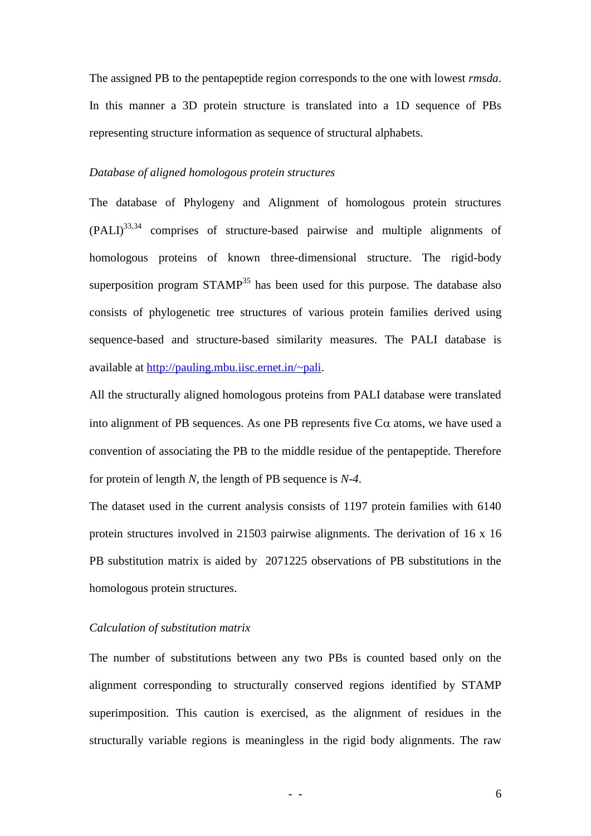The assigned PB to the pentapeptide region corresponds to the one with lowest *rmsda*. In this manner a 3D protein structure is translated into a 1D sequence of PBs representing structure information as sequence of structural alphabets.

#### *Database of aligned homologous protein structures*

The database of Phylogeny and Alignment of homologous protein structures  $(PALI)^{33,34}$  comprises of structure-based pairwise and multiple alignments of homologous proteins of known three-dimensional structure. The rigid-body superposition program  $STAMP<sup>35</sup>$  has been used for this purpose. The database also consists of phylogenetic tree structures of various protein families derived using sequence-based and structure-based similarity measures. The PALI database is available at [http://pauling.mbu.iisc.ernet.in/~pali.](http://pauling.mbu.iisc.ernet.in/~pali)

All the structurally aligned homologous proteins from PALI database were translated into alignment of PB sequences. As one PB represents five  $C\alpha$  atoms, we have used a convention of associating the PB to the middle residue of the pentapeptide. Therefore for protein of length *N*, the length of PB sequence is *N-4*.

The dataset used in the current analysis consists of 1197 protein families with 6140 protein structures involved in 21503 pairwise alignments. The derivation of 16 x 16 PB substitution matrix is aided by 2071225 observations of PB substitutions in the homologous protein structures.

#### *Calculation of substitution matrix*

The number of substitutions between any two PBs is counted based only on the alignment corresponding to structurally conserved regions identified by STAMP superimposition. This caution is exercised, as the alignment of residues in the structurally variable regions is meaningless in the rigid body alignments. The raw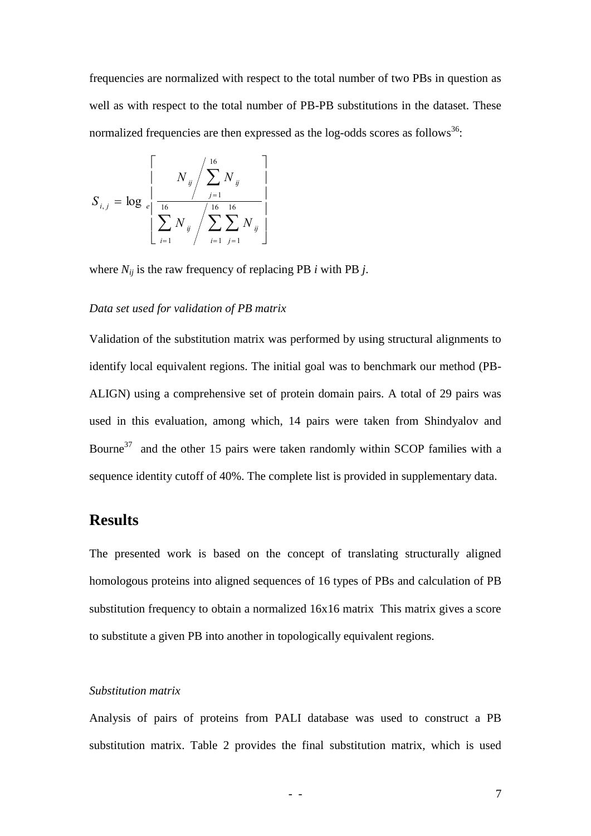frequencies are normalized with respect to the total number of two PBs in question as well as with respect to the total number of PB-PB substitutions in the dataset. These normalized frequencies are then expressed as the log-odds scores as follows<sup>36</sup>:

$$
S_{i,j} = \log \left[ \frac{N_{ij} / \sum_{j=1}^{16} N_{ij}}{\sum_{i=1}^{16} N_{ij} / \sum_{i=1}^{16} \sum_{j=1}^{16} N_{ij}} \right]
$$

where  $N_{ij}$  is the raw frequency of replacing PB *i* with PB *j*.

#### *Data set used for validation of PB matrix*

Validation of the substitution matrix was performed by using structural alignments to identify local equivalent regions. The initial goal was to benchmark our method (PB-ALIGN) using a comprehensive set of protein domain pairs. A total of 29 pairs was used in this evaluation, among which, 14 pairs were taken from Shindyalov and Bourne<sup>37</sup> and the other 15 pairs were taken randomly within SCOP families with a sequence identity cutoff of 40%. The complete list is provided in supplementary data.

## **Results**

The presented work is based on the concept of translating structurally aligned homologous proteins into aligned sequences of 16 types of PBs and calculation of PB substitution frequency to obtain a normalized 16x16 matrix This matrix gives a score to substitute a given PB into another in topologically equivalent regions.

#### *Substitution matrix*

Analysis of pairs of proteins from PALI database was used to construct a PB substitution matrix. Table 2 provides the final substitution matrix, which is used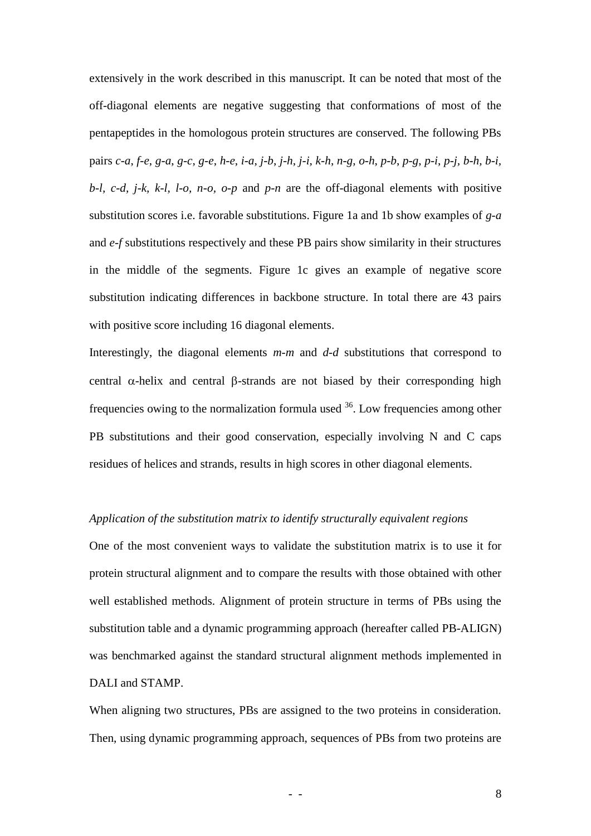extensively in the work described in this manuscript. It can be noted that most of the off-diagonal elements are negative suggesting that conformations of most of the pentapeptides in the homologous protein structures are conserved. The following PBs pairs c-a, f-e, g-a, g-c, g-e, h-e, i-a, j-b, j-h, j-i, k-h, n-g, o-h, p-b, p-g, p-i, p-j, b-h, b-i, *b-l, c-d, j-k, k-l, l-o, n-o, o-p* and *p*-*n* are the off-diagonal elements with positive substitution scores i.e. favorable substitutions. Figure 1a and 1b show examples of *g*-*a* and *e*-*f* substitutions respectively and these PB pairs show similarity in their structures in the middle of the segments. Figure 1c gives an example of negative score substitution indicating differences in backbone structure. In total there are 43 pairs with positive score including 16 diagonal elements.

Interestingly, the diagonal elements *m*-*m* and *d-d* substitutions that correspond to central  $\alpha$ -helix and central  $\beta$ -strands are not biased by their corresponding high frequencies owing to the normalization formula used  $36$ . Low frequencies among other PB substitutions and their good conservation, especially involving N and C caps residues of helices and strands, results in high scores in other diagonal elements.

#### *Application of the substitution matrix to identify structurally equivalent regions*

One of the most convenient ways to validate the substitution matrix is to use it for protein structural alignment and to compare the results with those obtained with other well established methods. Alignment of protein structure in terms of PBs using the substitution table and a dynamic programming approach (hereafter called PB-ALIGN) was benchmarked against the standard structural alignment methods implemented in DALI and STAMP.

When aligning two structures, PBs are assigned to the two proteins in consideration. Then, using dynamic programming approach, sequences of PBs from two proteins are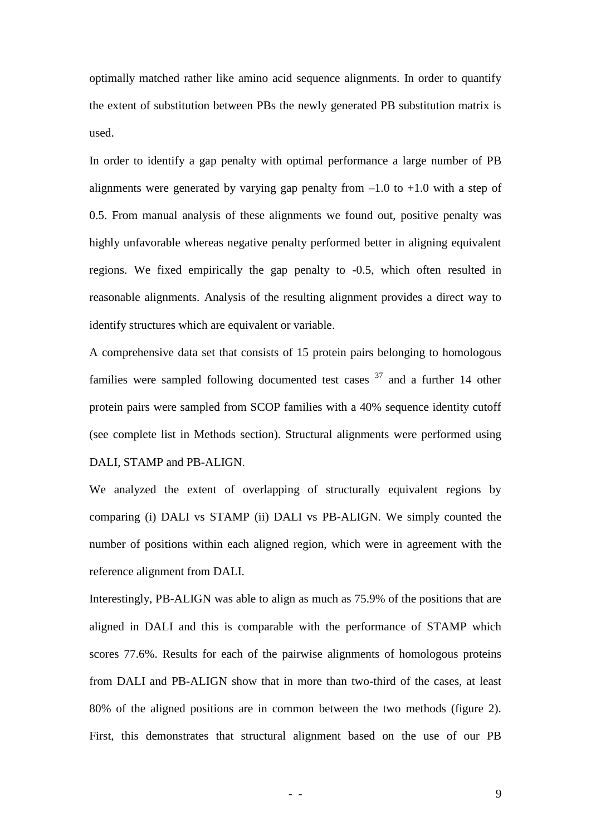optimally matched rather like amino acid sequence alignments. In order to quantify the extent of substitution between PBs the newly generated PB substitution matrix is used.

In order to identify a gap penalty with optimal performance a large number of PB alignments were generated by varying gap penalty from  $-1.0$  to  $+1.0$  with a step of 0.5. From manual analysis of these alignments we found out, positive penalty was highly unfavorable whereas negative penalty performed better in aligning equivalent regions. We fixed empirically the gap penalty to -0.5, which often resulted in reasonable alignments. Analysis of the resulting alignment provides a direct way to identify structures which are equivalent or variable.

A comprehensive data set that consists of 15 protein pairs belonging to homologous families were sampled following documented test cases  $37$  and a further 14 other protein pairs were sampled from SCOP families with a 40% sequence identity cutoff (see complete list in Methods section). Structural alignments were performed using DALI, STAMP and PB-ALIGN.

We analyzed the extent of overlapping of structurally equivalent regions by comparing (i) DALI vs STAMP (ii) DALI vs PB-ALIGN. We simply counted the number of positions within each aligned region, which were in agreement with the reference alignment from DALI.

Interestingly, PB-ALIGN was able to align as much as 75.9% of the positions that are aligned in DALI and this is comparable with the performance of STAMP which scores 77.6%. Results for each of the pairwise alignments of homologous proteins from DALI and PB-ALIGN show that in more than two-third of the cases, at least 80% of the aligned positions are in common between the two methods (figure 2). First, this demonstrates that structural alignment based on the use of our PB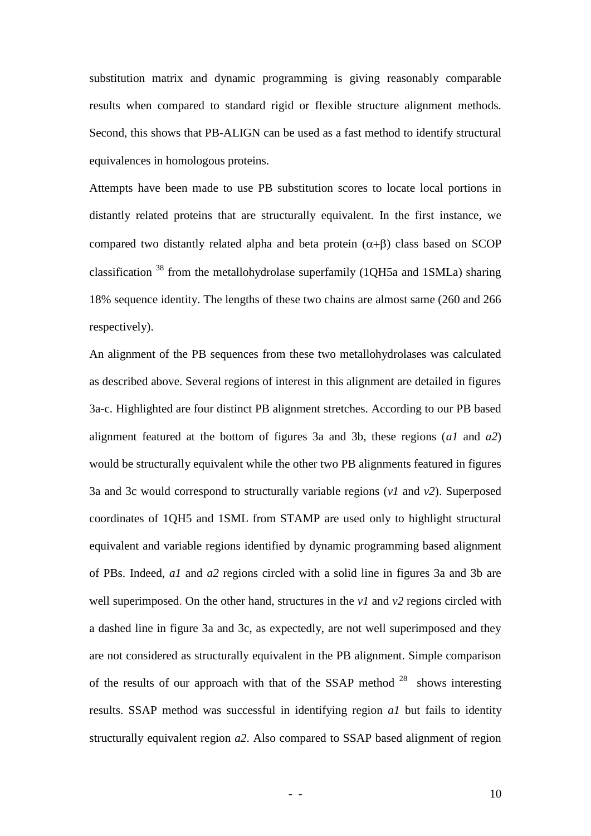substitution matrix and dynamic programming is giving reasonably comparable results when compared to standard rigid or flexible structure alignment methods. Second, this shows that PB-ALIGN can be used as a fast method to identify structural equivalences in homologous proteins.

Attempts have been made to use PB substitution scores to locate local portions in distantly related proteins that are structurally equivalent. In the first instance, we compared two distantly related alpha and beta protein  $(\alpha + \beta)$  class based on SCOP classification <sup>38</sup> from the metallohydrolase superfamily (1QH5a and 1SMLa) sharing 18% sequence identity. The lengths of these two chains are almost same (260 and 266 respectively).

An alignment of the PB sequences from these two metallohydrolases was calculated as described above. Several regions of interest in this alignment are detailed in figures 3a-c. Highlighted are four distinct PB alignment stretches. According to our PB based alignment featured at the bottom of figures 3a and 3b, these regions (*a1* and *a2*) would be structurally equivalent while the other two PB alignments featured in figures 3a and 3c would correspond to structurally variable regions (*v1* and *v2*). Superposed coordinates of 1QH5 and 1SML from STAMP are used only to highlight structural equivalent and variable regions identified by dynamic programming based alignment of PBs. Indeed, *a1* and *a2* regions circled with a solid line in figures 3a and 3b are well superimposed. On the other hand, structures in the *v1* and *v2* regions circled with a dashed line in figure 3a and 3c, as expectedly, are not well superimposed and they are not considered as structurally equivalent in the PB alignment. Simple comparison of the results of our approach with that of the SSAP method  $28$  shows interesting results. SSAP method was successful in identifying region *a1* but fails to identity structurally equivalent region *a2*. Also compared to SSAP based alignment of region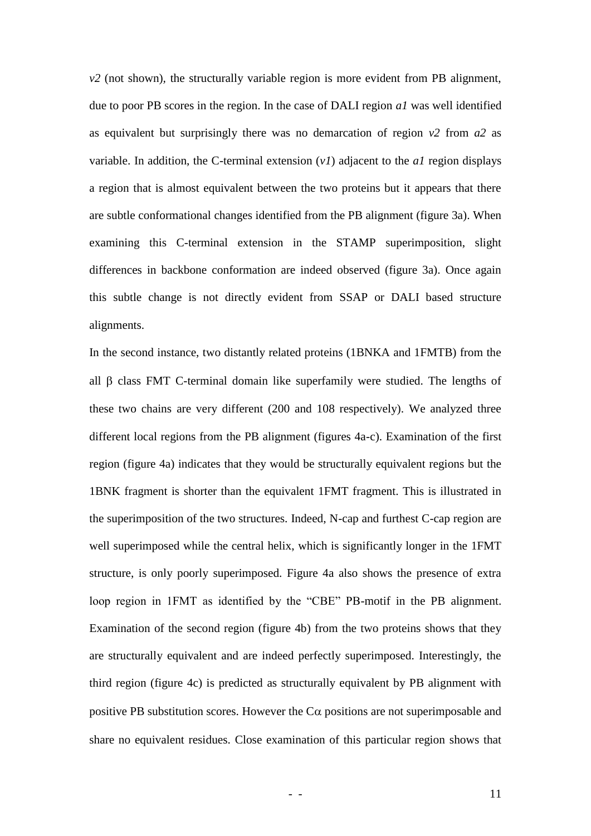*v2* (not shown)*,* the structurally variable region is more evident from PB alignment, due to poor PB scores in the region. In the case of DALI region *a1* was well identified as equivalent but surprisingly there was no demarcation of region  $v^2$  from  $a^2$  as variable. In addition, the C-terminal extension  $(vI)$  adjacent to the *al* region displays a region that is almost equivalent between the two proteins but it appears that there are subtle conformational changes identified from the PB alignment (figure 3a). When examining this C-terminal extension in the STAMP superimposition, slight differences in backbone conformation are indeed observed (figure 3a). Once again this subtle change is not directly evident from SSAP or DALI based structure alignments.

In the second instance, two distantly related proteins (1BNKA and 1FMTB) from the all  $\beta$  class FMT C-terminal domain like superfamily were studied. The lengths of these two chains are very different (200 and 108 respectively). We analyzed three different local regions from the PB alignment (figures 4a-c). Examination of the first region (figure 4a) indicates that they would be structurally equivalent regions but the 1BNK fragment is shorter than the equivalent 1FMT fragment. This is illustrated in the superimposition of the two structures. Indeed, N-cap and furthest C-cap region are well superimposed while the central helix, which is significantly longer in the 1FMT structure, is only poorly superimposed. Figure 4a also shows the presence of extra loop region in 1FMT as identified by the "CBE" PB-motif in the PB alignment. Examination of the second region (figure 4b) from the two proteins shows that they are structurally equivalent and are indeed perfectly superimposed. Interestingly, the third region (figure 4c) is predicted as structurally equivalent by PB alignment with positive PB substitution scores. However the  $Ca$  positions are not superimposable and share no equivalent residues. Close examination of this particular region shows that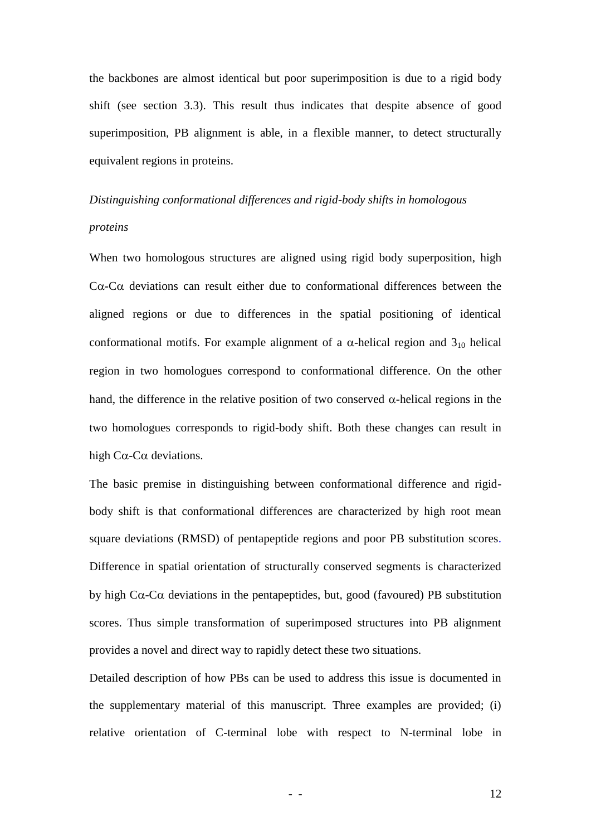the backbones are almost identical but poor superimposition is due to a rigid body shift (see section 3.3). This result thus indicates that despite absence of good superimposition, PB alignment is able, in a flexible manner, to detect structurally equivalent regions in proteins.

## *Distinguishing conformational differences and rigid-body shifts in homologous proteins*

When two homologous structures are aligned using rigid body superposition, high  $C\alpha$ -C $\alpha$  deviations can result either due to conformational differences between the aligned regions or due to differences in the spatial positioning of identical conformational motifs. For example alignment of a  $\alpha$ -helical region and 3<sub>10</sub> helical region in two homologues correspond to conformational difference. On the other hand, the difference in the relative position of two conserved  $\alpha$ -helical regions in the two homologues corresponds to rigid-body shift. Both these changes can result in high  $C\alpha$ -C $\alpha$  deviations.

The basic premise in distinguishing between conformational difference and rigidbody shift is that conformational differences are characterized by high root mean square deviations (RMSD) of pentapeptide regions and poor PB substitution scores. Difference in spatial orientation of structurally conserved segments is characterized by high  $C\alpha$ -C $\alpha$  deviations in the pentapeptides, but, good (favoured) PB substitution scores. Thus simple transformation of superimposed structures into PB alignment provides a novel and direct way to rapidly detect these two situations.

Detailed description of how PBs can be used to address this issue is documented in the supplementary material of this manuscript. Three examples are provided; (i) relative orientation of C-terminal lobe with respect to N-terminal lobe in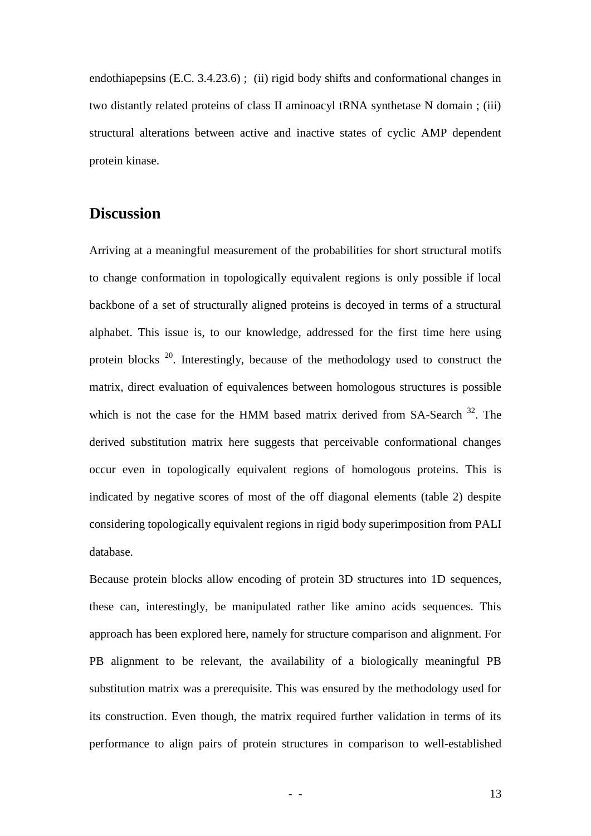endothiapepsins (E.C. 3.4.23.6) ; (ii) rigid body shifts and conformational changes in two distantly related proteins of class II aminoacyl tRNA synthetase N domain ; (iii) structural alterations between active and inactive states of cyclic AMP dependent protein kinase.

## **Discussion**

Arriving at a meaningful measurement of the probabilities for short structural motifs to change conformation in topologically equivalent regions is only possible if local backbone of a set of structurally aligned proteins is decoyed in terms of a structural alphabet. This issue is, to our knowledge, addressed for the first time here using protein blocks  $^{20}$ . Interestingly, because of the methodology used to construct the matrix, direct evaluation of equivalences between homologous structures is possible which is not the case for the HMM based matrix derived from  $SA-Search$ <sup>32</sup>. The derived substitution matrix here suggests that perceivable conformational changes occur even in topologically equivalent regions of homologous proteins. This is indicated by negative scores of most of the off diagonal elements (table 2) despite considering topologically equivalent regions in rigid body superimposition from PALI database.

Because protein blocks allow encoding of protein 3D structures into 1D sequences, these can, interestingly, be manipulated rather like amino acids sequences. This approach has been explored here, namely for structure comparison and alignment. For PB alignment to be relevant, the availability of a biologically meaningful PB substitution matrix was a prerequisite. This was ensured by the methodology used for its construction. Even though, the matrix required further validation in terms of its performance to align pairs of protein structures in comparison to well-established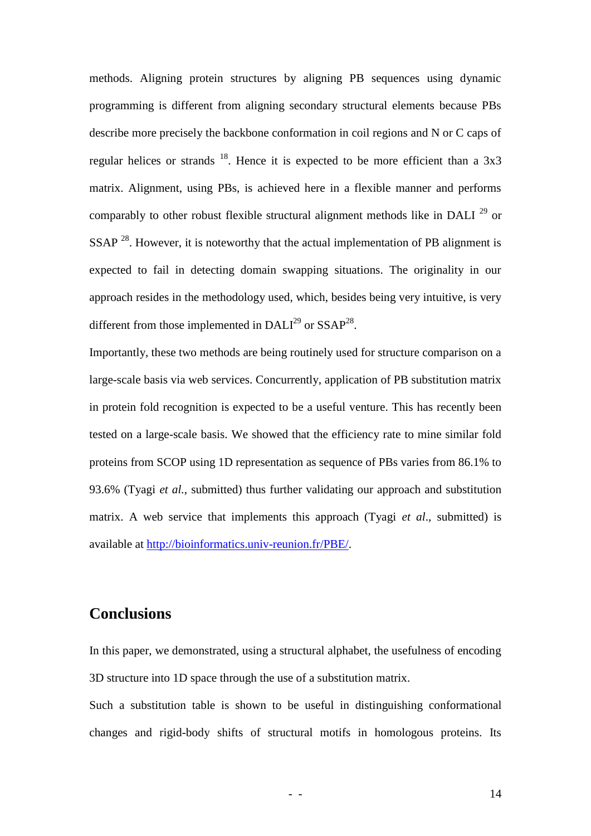methods. Aligning protein structures by aligning PB sequences using dynamic programming is different from aligning secondary structural elements because PBs describe more precisely the backbone conformation in coil regions and N or C caps of regular helices or strands  $^{18}$ . Hence it is expected to be more efficient than a 3x3 matrix. Alignment, using PBs, is achieved here in a flexible manner and performs comparably to other robust flexible structural alignment methods like in DALI <sup>29</sup> or  $SSAP<sup>28</sup>$ . However, it is noteworthy that the actual implementation of PB alignment is expected to fail in detecting domain swapping situations. The originality in our approach resides in the methodology used, which, besides being very intuitive, is very different from those implemented in  $\text{DALI}^{29}$  or  $\text{SSAP}^{28}$ .

Importantly, these two methods are being routinely used for structure comparison on a large-scale basis via web services. Concurrently, application of PB substitution matrix in protein fold recognition is expected to be a useful venture. This has recently been tested on a large-scale basis. We showed that the efficiency rate to mine similar fold proteins from SCOP using 1D representation as sequence of PBs varies from 86.1% to 93.6% (Tyagi *et al.*, submitted) thus further validating our approach and substitution matrix. A web service that implements this approach (Tyagi *et al*., submitted) is available at [http://bioinformatics.univ-reunion.fr/PBE/.](http://bioinformatics.univ-reunion.fr/PBE/)

## **Conclusions**

In this paper, we demonstrated, using a structural alphabet, the usefulness of encoding 3D structure into 1D space through the use of a substitution matrix.

Such a substitution table is shown to be useful in distinguishing conformational changes and rigid-body shifts of structural motifs in homologous proteins. Its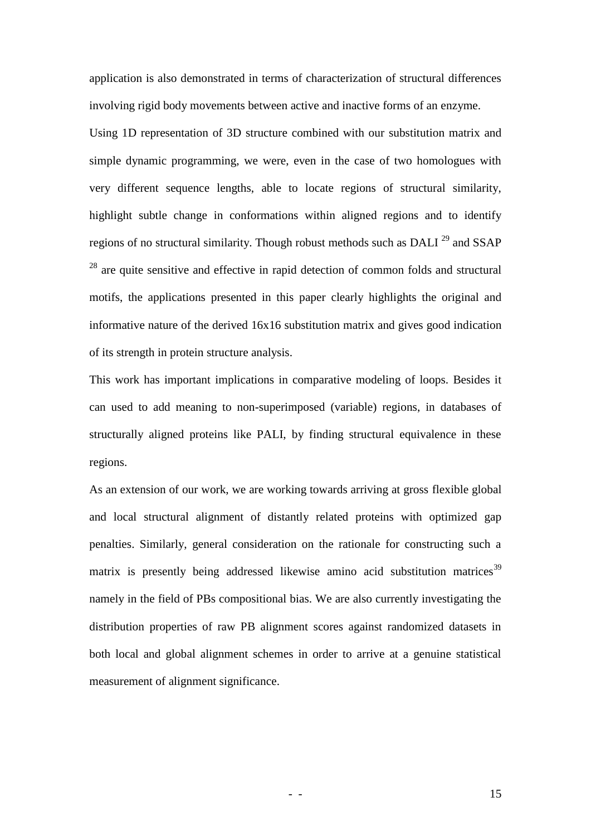application is also demonstrated in terms of characterization of structural differences involving rigid body movements between active and inactive forms of an enzyme.

Using 1D representation of 3D structure combined with our substitution matrix and simple dynamic programming, we were, even in the case of two homologues with very different sequence lengths, able to locate regions of structural similarity, highlight subtle change in conformations within aligned regions and to identify regions of no structural similarity. Though robust methods such as DALI <sup>29</sup> and SSAP <sup>28</sup> are quite sensitive and effective in rapid detection of common folds and structural motifs, the applications presented in this paper clearly highlights the original and informative nature of the derived 16x16 substitution matrix and gives good indication of its strength in protein structure analysis.

This work has important implications in comparative modeling of loops. Besides it can used to add meaning to non-superimposed (variable) regions, in databases of structurally aligned proteins like PALI, by finding structural equivalence in these regions.

As an extension of our work, we are working towards arriving at gross flexible global and local structural alignment of distantly related proteins with optimized gap penalties. Similarly, general consideration on the rationale for constructing such a matrix is presently being addressed likewise amino acid substitution matrices<sup>39</sup> namely in the field of PBs compositional bias. We are also currently investigating the distribution properties of raw PB alignment scores against randomized datasets in both local and global alignment schemes in order to arrive at a genuine statistical measurement of alignment significance.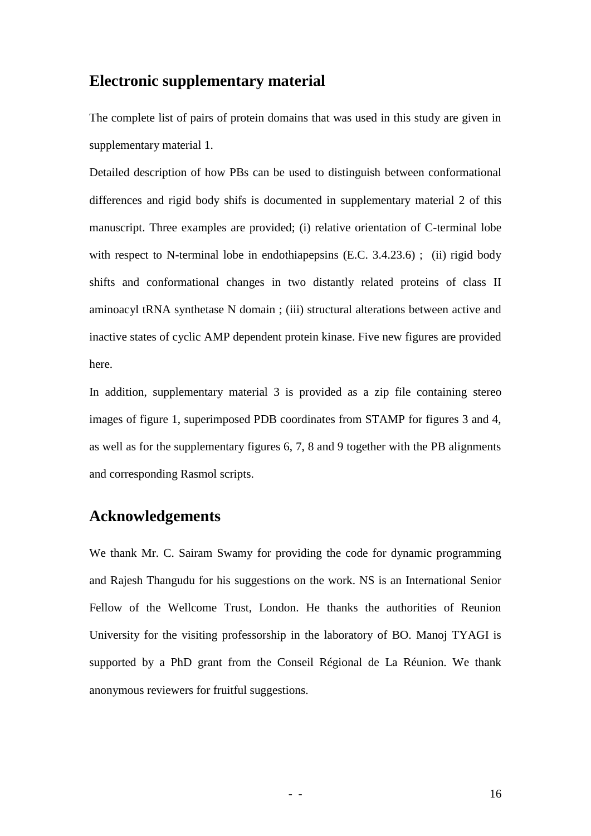### **Electronic supplementary material**

The complete list of pairs of protein domains that was used in this study are given in supplementary material 1.

Detailed description of how PBs can be used to distinguish between conformational differences and rigid body shifs is documented in supplementary material 2 of this manuscript. Three examples are provided; (i) relative orientation of C-terminal lobe with respect to N-terminal lobe in endothiapepsins (E.C. 3.4.23.6); (ii) rigid body shifts and conformational changes in two distantly related proteins of class II aminoacyl tRNA synthetase N domain ; (iii) structural alterations between active and inactive states of cyclic AMP dependent protein kinase. Five new figures are provided here.

In addition, supplementary material 3 is provided as a zip file containing stereo images of figure 1, superimposed PDB coordinates from STAMP for figures 3 and 4, as well as for the supplementary figures 6, 7, 8 and 9 together with the PB alignments and corresponding Rasmol scripts.

## **Acknowledgements**

We thank Mr. C. Sairam Swamy for providing the code for dynamic programming and Rajesh Thangudu for his suggestions on the work. NS is an International Senior Fellow of the Wellcome Trust, London. He thanks the authorities of Reunion University for the visiting professorship in the laboratory of BO. Manoj TYAGI is supported by a PhD grant from the Conseil Régional de La Réunion. We thank anonymous reviewers for fruitful suggestions.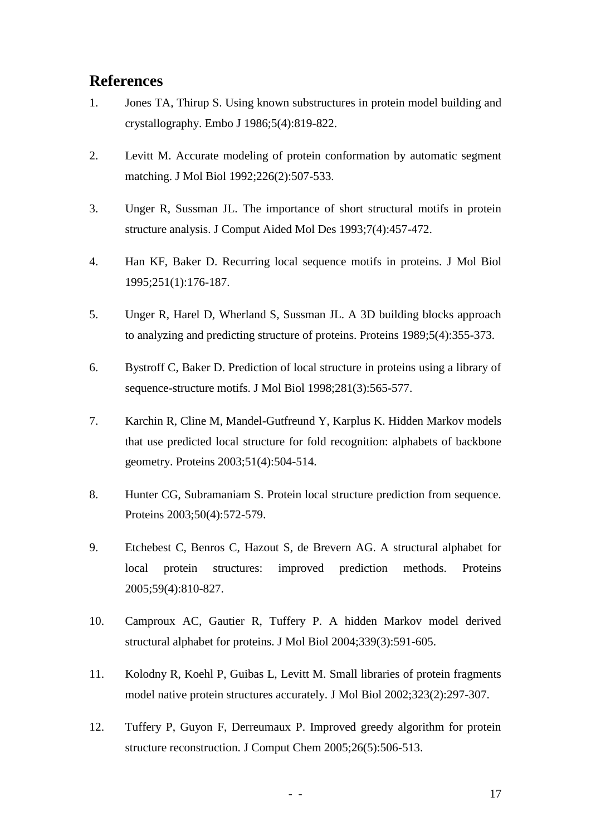### **References**

- 1. Jones TA, Thirup S. Using known substructures in protein model building and crystallography. Embo J 1986;5(4):819-822.
- 2. Levitt M. Accurate modeling of protein conformation by automatic segment matching. J Mol Biol 1992;226(2):507-533.
- 3. Unger R, Sussman JL. The importance of short structural motifs in protein structure analysis. J Comput Aided Mol Des 1993;7(4):457-472.
- 4. Han KF, Baker D. Recurring local sequence motifs in proteins. J Mol Biol 1995;251(1):176-187.
- 5. Unger R, Harel D, Wherland S, Sussman JL. A 3D building blocks approach to analyzing and predicting structure of proteins. Proteins 1989;5(4):355-373.
- 6. Bystroff C, Baker D. Prediction of local structure in proteins using a library of sequence-structure motifs. J Mol Biol 1998;281(3):565-577.
- 7. Karchin R, Cline M, Mandel-Gutfreund Y, Karplus K. Hidden Markov models that use predicted local structure for fold recognition: alphabets of backbone geometry. Proteins 2003;51(4):504-514.
- 8. Hunter CG, Subramaniam S. Protein local structure prediction from sequence. Proteins 2003;50(4):572-579.
- 9. Etchebest C, Benros C, Hazout S, de Brevern AG. A structural alphabet for local protein structures: improved prediction methods. Proteins 2005;59(4):810-827.
- 10. Camproux AC, Gautier R, Tuffery P. A hidden Markov model derived structural alphabet for proteins. J Mol Biol 2004;339(3):591-605.
- 11. Kolodny R, Koehl P, Guibas L, Levitt M. Small libraries of protein fragments model native protein structures accurately. J Mol Biol 2002;323(2):297-307.
- 12. Tuffery P, Guyon F, Derreumaux P. Improved greedy algorithm for protein structure reconstruction. J Comput Chem 2005;26(5):506-513.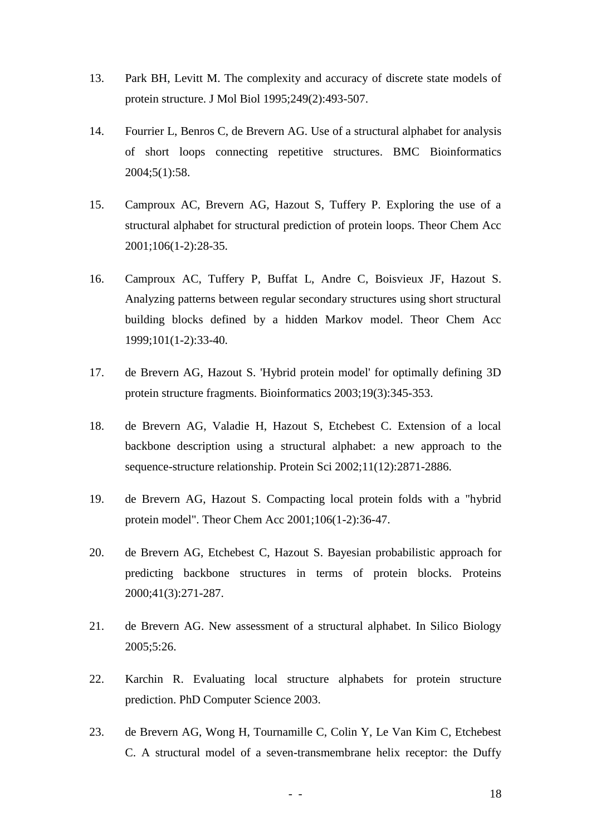- 13. Park BH, Levitt M. The complexity and accuracy of discrete state models of protein structure. J Mol Biol 1995;249(2):493-507.
- 14. Fourrier L, Benros C, de Brevern AG. Use of a structural alphabet for analysis of short loops connecting repetitive structures. BMC Bioinformatics 2004;5(1):58.
- 15. Camproux AC, Brevern AG, Hazout S, Tuffery P. Exploring the use of a structural alphabet for structural prediction of protein loops. Theor Chem Acc 2001;106(1-2):28-35.
- 16. Camproux AC, Tuffery P, Buffat L, Andre C, Boisvieux JF, Hazout S. Analyzing patterns between regular secondary structures using short structural building blocks defined by a hidden Markov model. Theor Chem Acc 1999;101(1-2):33-40.
- 17. de Brevern AG, Hazout S. 'Hybrid protein model' for optimally defining 3D protein structure fragments. Bioinformatics 2003;19(3):345-353.
- 18. de Brevern AG, Valadie H, Hazout S, Etchebest C. Extension of a local backbone description using a structural alphabet: a new approach to the sequence-structure relationship. Protein Sci 2002;11(12):2871-2886.
- 19. de Brevern AG, Hazout S. Compacting local protein folds with a "hybrid protein model". Theor Chem Acc 2001;106(1-2):36-47.
- 20. de Brevern AG, Etchebest C, Hazout S. Bayesian probabilistic approach for predicting backbone structures in terms of protein blocks. Proteins 2000;41(3):271-287.
- 21. de Brevern AG. New assessment of a structural alphabet. In Silico Biology 2005;5:26.
- 22. Karchin R. Evaluating local structure alphabets for protein structure prediction. PhD Computer Science 2003.
- 23. de Brevern AG, Wong H, Tournamille C, Colin Y, Le Van Kim C, Etchebest C. A structural model of a seven-transmembrane helix receptor: the Duffy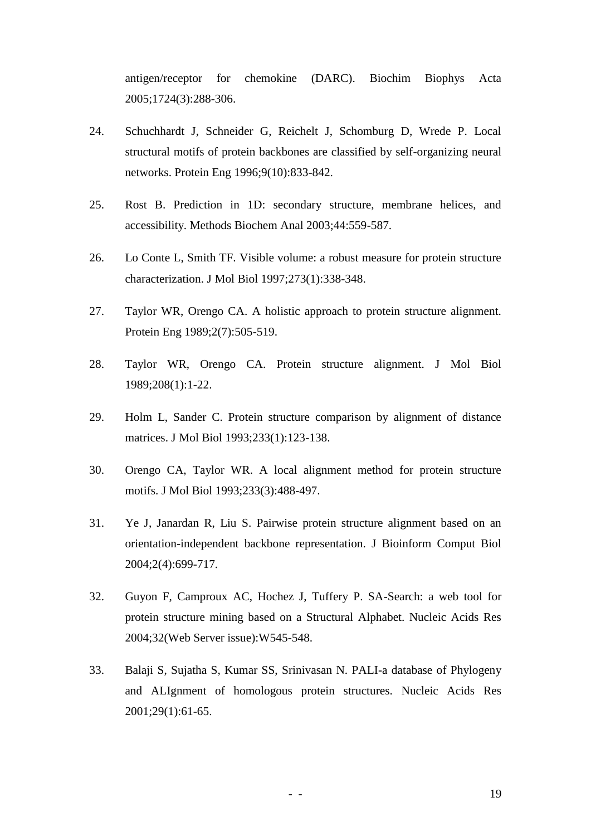antigen/receptor for chemokine (DARC). Biochim Biophys Acta 2005;1724(3):288-306.

- 24. Schuchhardt J, Schneider G, Reichelt J, Schomburg D, Wrede P. Local structural motifs of protein backbones are classified by self-organizing neural networks. Protein Eng 1996;9(10):833-842.
- 25. Rost B. Prediction in 1D: secondary structure, membrane helices, and accessibility. Methods Biochem Anal 2003;44:559-587.
- 26. Lo Conte L, Smith TF. Visible volume: a robust measure for protein structure characterization. J Mol Biol 1997;273(1):338-348.
- 27. Taylor WR, Orengo CA. A holistic approach to protein structure alignment. Protein Eng 1989;2(7):505-519.
- 28. Taylor WR, Orengo CA. Protein structure alignment. J Mol Biol 1989;208(1):1-22.
- 29. Holm L, Sander C. Protein structure comparison by alignment of distance matrices. J Mol Biol 1993;233(1):123-138.
- 30. Orengo CA, Taylor WR. A local alignment method for protein structure motifs. J Mol Biol 1993;233(3):488-497.
- 31. Ye J, Janardan R, Liu S. Pairwise protein structure alignment based on an orientation-independent backbone representation. J Bioinform Comput Biol 2004;2(4):699-717.
- 32. Guyon F, Camproux AC, Hochez J, Tuffery P. SA-Search: a web tool for protein structure mining based on a Structural Alphabet. Nucleic Acids Res 2004;32(Web Server issue):W545-548.
- 33. Balaji S, Sujatha S, Kumar SS, Srinivasan N. PALI-a database of Phylogeny and ALIgnment of homologous protein structures. Nucleic Acids Res 2001;29(1):61-65.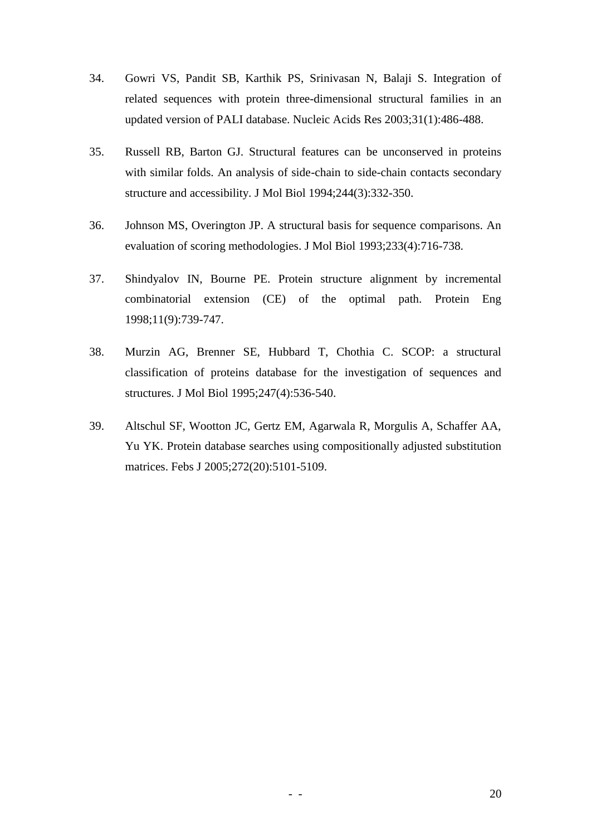- 34. Gowri VS, Pandit SB, Karthik PS, Srinivasan N, Balaji S. Integration of related sequences with protein three-dimensional structural families in an updated version of PALI database. Nucleic Acids Res 2003;31(1):486-488.
- 35. Russell RB, Barton GJ. Structural features can be unconserved in proteins with similar folds. An analysis of side-chain to side-chain contacts secondary structure and accessibility. J Mol Biol 1994;244(3):332-350.
- 36. Johnson MS, Overington JP. A structural basis for sequence comparisons. An evaluation of scoring methodologies. J Mol Biol 1993;233(4):716-738.
- 37. Shindyalov IN, Bourne PE. Protein structure alignment by incremental combinatorial extension (CE) of the optimal path. Protein Eng 1998;11(9):739-747.
- 38. Murzin AG, Brenner SE, Hubbard T, Chothia C. SCOP: a structural classification of proteins database for the investigation of sequences and structures. J Mol Biol 1995;247(4):536-540.
- 39. Altschul SF, Wootton JC, Gertz EM, Agarwala R, Morgulis A, Schaffer AA, Yu YK. Protein database searches using compositionally adjusted substitution matrices. Febs J 2005;272(20):5101-5109.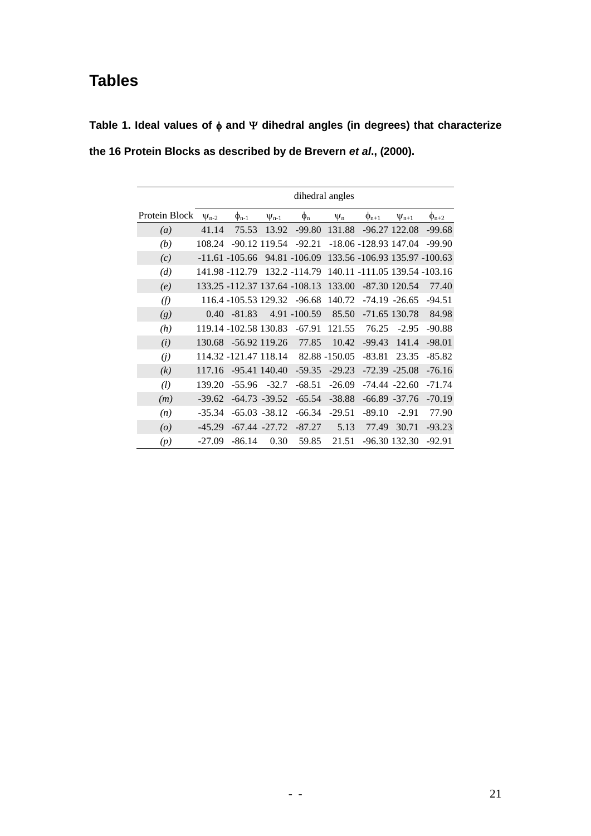## **Tables**

|                                                                  |  |  | Table 1. Ideal values of $\phi$ and $\Psi$ dihedral angles (in degrees) that characterize |
|------------------------------------------------------------------|--|--|-------------------------------------------------------------------------------------------|
| the 16 Protein Blocks as described by de Brevern et al., (2000). |  |  |                                                                                           |

|                  | dihedral angles              |                               |                  |               |               |                               |                  |              |  |  |  |  |  |  |
|------------------|------------------------------|-------------------------------|------------------|---------------|---------------|-------------------------------|------------------|--------------|--|--|--|--|--|--|
| Protein Block    | $\phi_{n-1}$<br>$\Psi_{n-2}$ |                               | $\Psi_{n-1}$     | $\phi_{n}$    | $\Psi_n$      | $\phi_{n+1}$                  | $\Psi_{n+1}$     | $\phi_{n+2}$ |  |  |  |  |  |  |
| $\left(a\right)$ | 41.14                        | 75.53                         | 13.92            | $-99.80$      | 131.88        |                               | $-96.27$ 122.08  | $-99.68$     |  |  |  |  |  |  |
| (b)              | 108.24                       |                               | -90.12 119.54    | $-92.21$      |               | $-18.06 - 128.93$ 147.04      |                  | $-99.90$     |  |  |  |  |  |  |
| (c)              |                              | $-11.61 - 105.66$             |                  | 94.81 -106.09 |               | 133.56 -106.93 135.97 -100.63 |                  |              |  |  |  |  |  |  |
| (d)              |                              | 141.98 -112.79                |                  | 132.2 -114.79 |               | 140.11 -111.05 139.54 -103.16 |                  |              |  |  |  |  |  |  |
| (e)              |                              | 133.25 -112.37 137.64 -108.13 |                  |               | 133.00        |                               | $-87.30$ 120.54  | 77.40        |  |  |  |  |  |  |
| (f)              |                              | 116.4 -105.53 129.32          |                  | $-96.68$      | 140.72        |                               | $-74.19 - 26.65$ | $-94.51$     |  |  |  |  |  |  |
| (g)              | 0.40                         | $-81.83$                      |                  | 4.91 -100.59  | 85.50         |                               | $-71.65$ 130.78  | 84.98        |  |  |  |  |  |  |
| (h)              |                              | 119.14 -102.58 130.83         |                  | $-67.91$      | 121.55        | 76.25                         | $-2.95$          | $-90.88$     |  |  |  |  |  |  |
| (i)              | 130.68                       | -56.92 119.26                 |                  | 77.85         | 10.42         | $-99.43$                      | 141.4            | $-98.01$     |  |  |  |  |  |  |
| (j)              |                              | 114.32 -121.47 118.14         |                  |               | 82.88 -150.05 | $-83.81$                      | 23.35            | $-85.82$     |  |  |  |  |  |  |
| (k)              | 117.16                       |                               | $-95.41140.40$   | $-59.35$      | $-29.23$      |                               | $-72.39 - 25.08$ | $-76.16$     |  |  |  |  |  |  |
| (l)              | 139.20                       | $-55.96$                      | $-32.7$          | $-68.51$      | $-26.09$      |                               | $-74.44 - 22.60$ | $-71.74$     |  |  |  |  |  |  |
| (m)              | $-39.62$                     |                               | $-64.73 - 39.52$ | $-65.54$      | $-38.88$      |                               | $-66.89 - 37.76$ | $-70.19$     |  |  |  |  |  |  |
| (n)              | $-35.34$                     |                               | $-65.03 - 38.12$ | $-66.34$      | $-29.51$      | $-89.10$                      | $-2.91$          | 77.90        |  |  |  |  |  |  |
| (o)              | $-45.29$                     |                               | $-67.44 - 27.72$ | $-87.27$      | 5.13          | 77.49                         | 30.71            | $-93.23$     |  |  |  |  |  |  |
| (p)              | $-27.09$                     | $-86.14$                      | 0.30             | 59.85         | 21.51         |                               | -96.30 132.30    | $-92.91$     |  |  |  |  |  |  |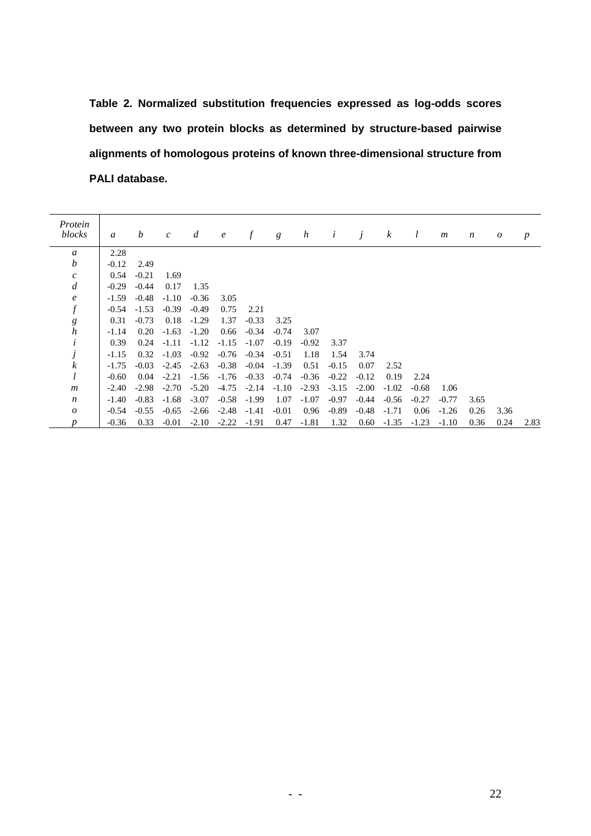**Table 2. Normalized substitution frequencies expressed as log-odds scores between any two protein blocks as determined by structure-based pairwise alignments of homologous proteins of known three-dimensional structure from PALI database.**

| Protein<br>blocks | a       | b       | $\boldsymbol{c}$ | $\overline{d}$ | $\boldsymbol{e}$ | $\int f$ | g       | $\boldsymbol{h}$ | $\dot{i}$ | j       | $\boldsymbol{k}$ | l       | $\boldsymbol{m}$ | n    | $\boldsymbol{o}$ | $\boldsymbol{p}$ |
|-------------------|---------|---------|------------------|----------------|------------------|----------|---------|------------------|-----------|---------|------------------|---------|------------------|------|------------------|------------------|
| a                 | 2.28    |         |                  |                |                  |          |         |                  |           |         |                  |         |                  |      |                  |                  |
| $\boldsymbol{b}$  | $-0.12$ | 2.49    |                  |                |                  |          |         |                  |           |         |                  |         |                  |      |                  |                  |
| $\mathfrak{c}$    | 0.54    | $-0.21$ | 1.69             |                |                  |          |         |                  |           |         |                  |         |                  |      |                  |                  |
| $\boldsymbol{d}$  | $-0.29$ | $-0.44$ | 0.17             | 1.35           |                  |          |         |                  |           |         |                  |         |                  |      |                  |                  |
| $\epsilon$        | $-1.59$ | $-0.48$ | $-1.10$          | $-0.36$        | 3.05             |          |         |                  |           |         |                  |         |                  |      |                  |                  |
| $\boldsymbol{f}$  | $-0.54$ | $-1.53$ | $-0.39$          | $-0.49$        | 0.75             | 2.21     |         |                  |           |         |                  |         |                  |      |                  |                  |
| g                 | 0.31    | $-0.73$ | 0.18             | $-1.29$        | 1.37             | $-0.33$  | 3.25    |                  |           |         |                  |         |                  |      |                  |                  |
| $\boldsymbol{h}$  | $-1.14$ | 0.20    | $-1.63$          | $-1.20$        | 0.66             | $-0.34$  | $-0.74$ | 3.07             |           |         |                  |         |                  |      |                  |                  |
|                   | 0.39    | 0.24    | $-1.11$          | $-1.12$        | $-1.15$          | $-1.07$  | $-0.19$ | $-0.92$          | 3.37      |         |                  |         |                  |      |                  |                  |
|                   | $-1.15$ | 0.32    | $-1.03$          | $-0.92$        | $-0.76$          | $-0.34$  | $-0.51$ | 1.18             | 1.54      | 3.74    |                  |         |                  |      |                  |                  |
| k                 | $-1.75$ | $-0.03$ | $-2.45$          | $-2.63$        | $-0.38$          | $-0.04$  | $-1.39$ | 0.51             | $-0.15$   | 0.07    | 2.52             |         |                  |      |                  |                  |
|                   | $-0.60$ | 0.04    | $-2.21$          | $-1.56$        | $-1.76$          | $-0.33$  | $-0.74$ | $-0.36$          | $-0.22$   | $-0.12$ | 0.19             | 2.24    |                  |      |                  |                  |
| $\boldsymbol{m}$  | $-2.40$ | $-2.98$ | $-2.70$          | $-5.20$        | $-4.75$          | $-2.14$  | $-1.10$ | $-2.93$          | $-3.15$   | $-2.00$ | $-1.02$          | $-0.68$ | 1.06             |      |                  |                  |
| n                 | $-1.40$ | $-0.83$ | $-1.68$          | $-3.07$        | $-0.58$          | $-1.99$  | 1.07    | $-1.07$          | $-0.97$   | $-0.44$ | $-0.56$          | $-0.27$ | $-0.77$          | 3.65 |                  |                  |
| $\overline{o}$    | $-0.54$ | $-0.55$ | $-0.65$          | $-2.66$        | $-2.48$          | $-1.41$  | $-0.01$ | 0.96             | $-0.89$   | $-0.48$ | $-1.71$          | 0.06    | $-1.26$          | 0.26 | 3.36             |                  |
| D                 | $-0.36$ | 0.33    | $-0.01$          | $-2.10$        | $-2.22$          | $-1.91$  | 0.47    | $-1.81$          | 1.32      | 0.60    | $-1.35$          | $-1.23$ | $-1.10$          | 0.36 | 0.24             | 2.83             |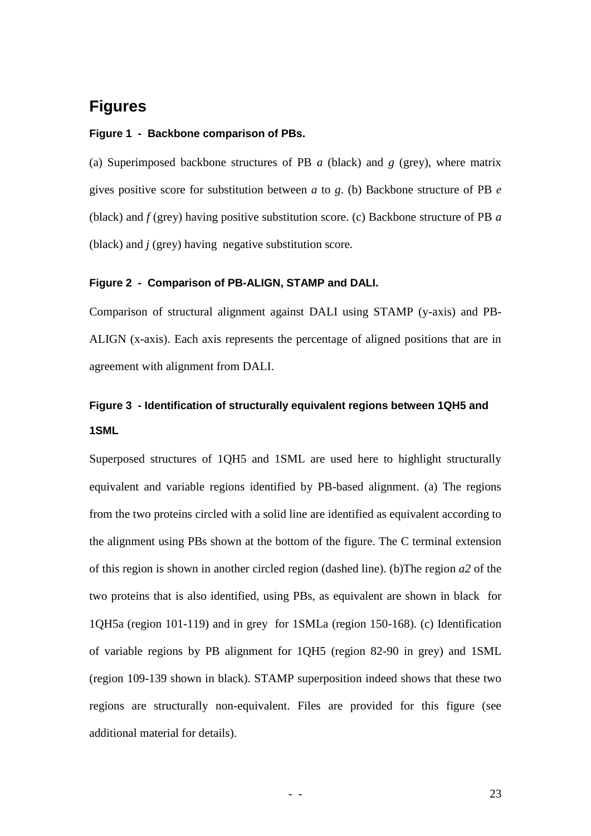## **Figures**

#### **Figure 1 - Backbone comparison of PBs.**

(a) Superimposed backbone structures of PB *a* (black) and *g* (grey), where matrix gives positive score for substitution between *a* to *g*. (b) Backbone structure of PB *e* (black) and *f* (grey) having positive substitution score. (c) Backbone structure of PB *a* (black) and *j* (grey) having negative substitution score.

#### **Figure 2 - Comparison of PB-ALIGN, STAMP and DALI.**

Comparison of structural alignment against DALI using STAMP (y-axis) and PB-ALIGN (x-axis). Each axis represents the percentage of aligned positions that are in agreement with alignment from DALI.

## **Figure 3 - Identification of structurally equivalent regions between 1QH5 and 1SML**

Superposed structures of 1QH5 and 1SML are used here to highlight structurally equivalent and variable regions identified by PB-based alignment. (a) The regions from the two proteins circled with a solid line are identified as equivalent according to the alignment using PBs shown at the bottom of the figure. The C terminal extension of this region is shown in another circled region (dashed line). (b)The region *a2* of the two proteins that is also identified, using PBs, as equivalent are shown in black for 1QH5a (region 101-119) and in grey for 1SMLa (region 150-168). (c) Identification of variable regions by PB alignment for 1QH5 (region 82-90 in grey) and 1SML (region 109-139 shown in black). STAMP superposition indeed shows that these two regions are structurally non-equivalent. Files are provided for this figure (see additional material for details).